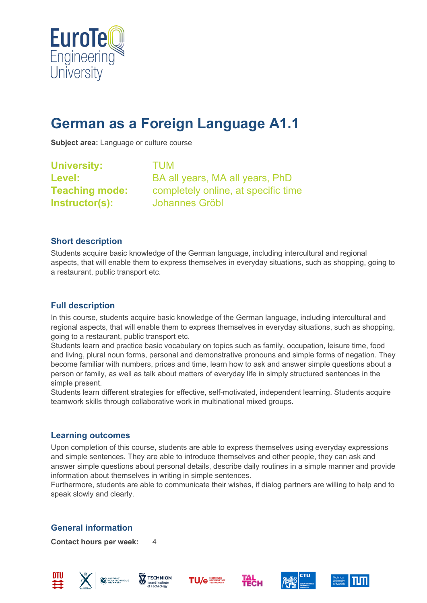

# **German as a Foreign Language A1.1**

**Subject area:** Language or culture course

| <b>University:</b>    |
|-----------------------|
| Level:                |
| <b>Teaching mode:</b> |
| Instructor(s):        |

**University:** TUM **Level:** BA all years, MA all years, PhD completely online, at specific time **Instructor(s):** Johannes Gröbl

#### **Short description**

Students acquire basic knowledge of the German language, including intercultural and regional aspects, that will enable them to express themselves in everyday situations, such as shopping, going to a restaurant, public transport etc.

## **Full description**

In this course, students acquire basic knowledge of the German language, including intercultural and regional aspects, that will enable them to express themselves in everyday situations, such as shopping, going to a restaurant, public transport etc.

Students learn and practice basic vocabulary on topics such as family, occupation, leisure time, food and living, plural noun forms, personal and demonstrative pronouns and simple forms of negation. They become familiar with numbers, prices and time, learn how to ask and answer simple questions about a person or family, as well as talk about matters of everyday life in simply structured sentences in the simple present.

Students learn different strategies for effective, self-motivated, independent learning. Students acquire teamwork skills through collaborative work in multinational mixed groups.

## **Learning outcomes**

Upon completion of this course, students are able to express themselves using everyday expressions and simple sentences. They are able to introduce themselves and other people, they can ask and answer simple questions about personal details, describe daily routines in a simple manner and provide information about themselves in writing in simple sentences.

Furthermore, students are able to communicate their wishes, if dialog partners are willing to help and to speak slowly and clearly.

## **General information**

**Contact hours per week:** 4











**TecH** 

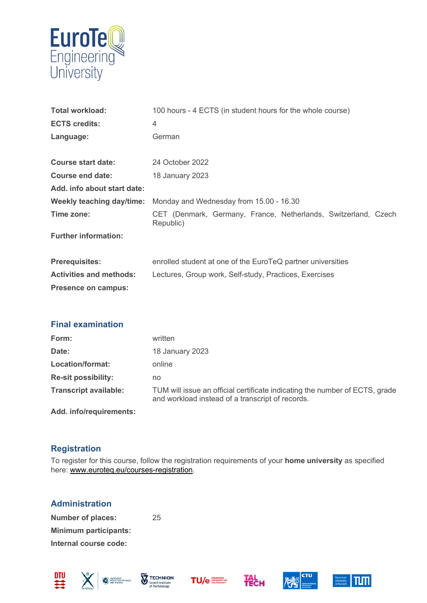

| <b>Total workload:</b>         | 100 hours - 4 ECTS (in student hours for the whole course)                  |
|--------------------------------|-----------------------------------------------------------------------------|
| <b>ECTS credits:</b>           | 4                                                                           |
| Language:                      | German                                                                      |
|                                |                                                                             |
| <b>Course start date:</b>      | 24 October 2022                                                             |
| Course end date:               | 18 January 2023                                                             |
| Add. info about start date:    |                                                                             |
| Weekly teaching day/time:      | Monday and Wednesday from 15.00 - 16.30                                     |
| Time zone:                     | CET (Denmark, Germany, France, Netherlands, Switzerland, Czech<br>Republic) |
| <b>Further information:</b>    |                                                                             |
|                                |                                                                             |
| <b>Prerequisites:</b>          | enrolled student at one of the EuroTeQ partner universities                 |
| <b>Activities and methods:</b> | Lectures, Group work, Self-study, Practices, Exercises                      |
| Presence on campus:            |                                                                             |
|                                |                                                                             |

#### **Final examination**

| Form:                        | written                                                                                                                         |
|------------------------------|---------------------------------------------------------------------------------------------------------------------------------|
| Date:                        | 18 January 2023                                                                                                                 |
| Location/format:             | online                                                                                                                          |
| <b>Re-sit possibility:</b>   | no                                                                                                                              |
| <b>Transcript available:</b> | TUM will issue an official certificate indicating the number of ECTS, grade<br>and workload instead of a transcript of records. |
| Add. info/requirements:      |                                                                                                                                 |

#### **Registration**

To register for this course, follow the registration requirements of your **home university** as specified here: [www.euroteq.eu/courses-registration.](http://www.euroteq.eu/courses-registration)

## **Administration**

**Number of places:** 25 **Minimum participants: Internal course code:**